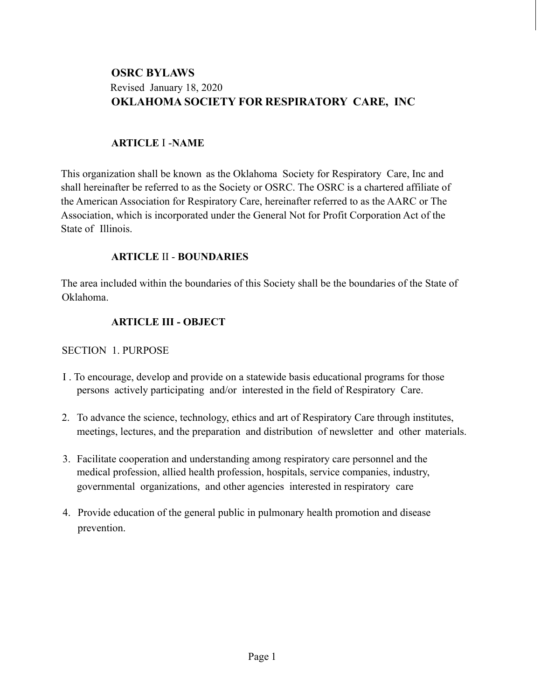# **OSRC BYLAWS**  Revised January 18, 2020 **OKLAHOMA SOCIETY FOR RESPIRATORY CARE, INC**

### **ARTICLE** I -**NAME**

This organization shall be known as the Oklahoma Society for Respiratory Care, Inc and shall hereinafter be referred to as the Society or OSRC. The OSRC is a chartered affiliate of the American Association for Respiratory Care, hereinafter referred to as the AARC or The Association, which is incorporated under the General Not for Profit Corporation Act of the State of Illinois.

### **ARTICLE** II - **BOUNDARIES**

The area included within the boundaries of this Society shall be the boundaries of the State of Oklahoma.

### **ARTICLE III - OBJECT**

### SECTION 1. PURPOSE

- I . To encourage, develop and provide on a statewide basis educational programs for those persons actively participating and/or interested in the field of Respiratory Care.
- 2. To advance the science, technology, ethics and art of Respiratory Care through institutes, meetings, lectures, and the preparation and distribution of newsletter and other materials.
- 3. Facilitate cooperation and understanding among respiratory care personnel and the medical profession, allied health profession, hospitals, service companies, industry, governmental organizations, and other agencies interested in respiratory care
- 4. Provide education of the general public in pulmonary health promotion and disease prevention.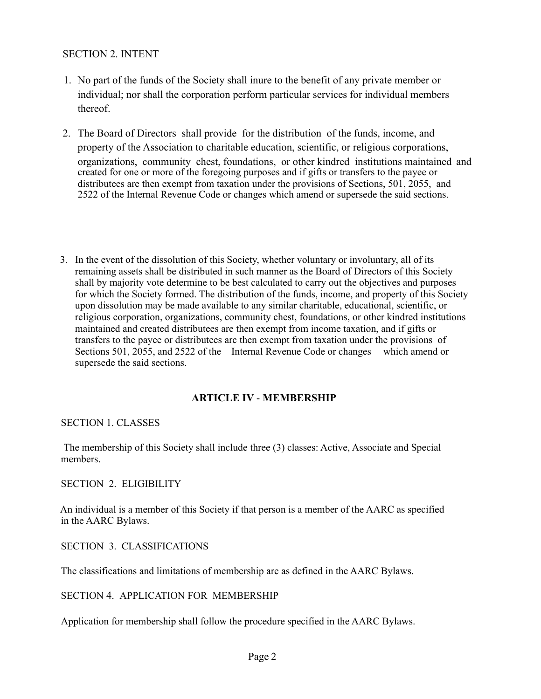### SECTION 2. INTENT

- 1. No part of the funds of the Society shall inure to the benefit of any private member or individual; nor shall the corporation perform particular services for individual members thereof.
- 2. The Board of Directors shall provide for the distribution of the funds, income, and property of the Association to charitable education, scientific, or religious corporations, organizations, community chest, foundations, or other kindred institutions maintained and created for one or more of the foregoing purposes and if gifts or transfers to the payee or distributees are then exempt from taxation under the provisions of Sections, 501, 2055, and 2522 of the Internal Revenue Code or changes which amend or supersede the said sections.
- 3. In the event of the dissolution of this Society, whether voluntary or involuntary, all of its remaining assets shall be distributed in such manner as the Board of Directors of this Society shall by majority vote determine to be best calculated to carry out the objectives and purposes for which the Society formed. The distribution of the funds, income, and property of this Society upon dissolution may be made available to any similar charitable, educational, scientific, or religious corporation, organizations, community chest, foundations, or other kindred institutions maintained and created distributees are then exempt from income taxation, and if gifts or transfers to the payee or distributees arc then exempt from taxation under the provisions of Sections 501, 2055, and 2522 of the Internal Revenue Code or changes which amend or supersede the said sections.

### **ARTICLE IV** - **MEMBERSHIP**

#### SECTION 1. CLASSES

The membership of this Society shall include three (3) classes: Active, Associate and Special members.

SECTION 2. ELIGIBILITY

An individual is a member of this Society if that person is a member of the AARC as specified in the AARC Bylaws.

SECTION 3. CLASSIFICATIONS

The classifications and limitations of membership are as defined in the AARC Bylaws.

SECTION 4. APPLICATION FOR MEMBERSHIP

Application for membership shall follow the procedure specified in the AARC Bylaws.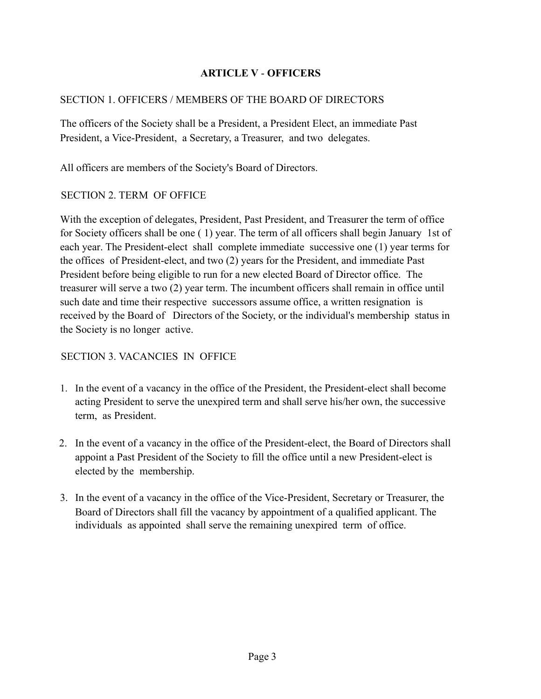## **ARTICLE V** - **OFFICERS**

### SECTION 1. OFFICERS / MEMBERS OF THE BOARD OF DIRECTORS

The officers of the Society shall be a President, a President Elect, an immediate Past President, a Vice-President, a Secretary, a Treasurer, and two delegates.

All officers are members of the Society's Board of Directors.

### SECTION 2. TERM OF OFFICE

With the exception of delegates, President, Past President, and Treasurer the term of office for Society officers shall be one ( 1) year. The term of all officers shall begin January 1st of each year. The President-elect shall complete immediate successive one (1) year terms for the offices of President-elect, and two (2) years for the President, and immediate Past President before being eligible to run for a new elected Board of Director office. The treasurer will serve a two (2) year term. The incumbent officers shall remain in office until such date and time their respective successors assume office, a written resignation is received by the Board of Directors of the Society, or the individual's membership status in the Society is no longer active.

## SECTION 3. VACANCIES IN OFFICE

- 1. In the event of a vacancy in the office of the President, the President-elect shall become acting President to serve the unexpired term and shall serve his/her own, the successive term, as President.
- 2. In the event of a vacancy in the office of the President-elect, the Board of Directors shall appoint a Past President of the Society to fill the office until a new President-elect is elected by the membership.
- 3. In the event of a vacancy in the office of the Vice-President, Secretary or Treasurer, the Board of Directors shall fill the vacancy by appointment of a qualified applicant. The individuals as appointed shall serve the remaining unexpired term of office.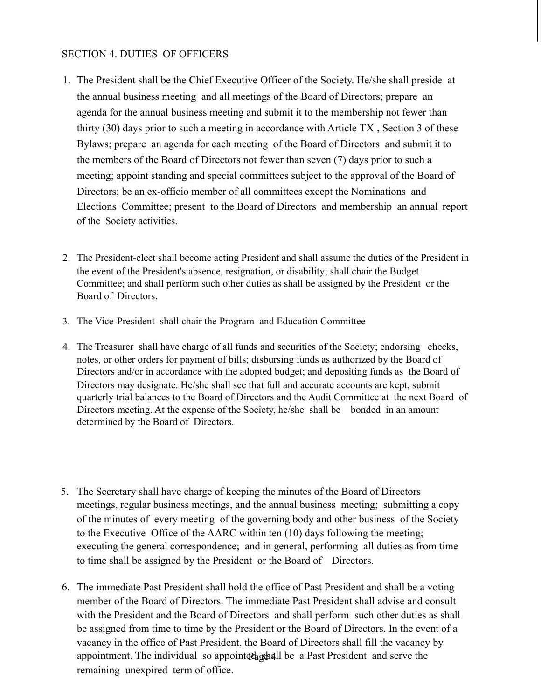### SECTION 4. DUTIES OF OFFICERS

- 1. The President shall be the Chief Executive Officer of the Society. He/she shall preside at the annual business meeting and all meetings of the Board of Directors; prepare an agenda for the annual business meeting and submit it to the membership not fewer than thirty (30) days prior to such a meeting in accordance with Article TX , Section 3 of these Bylaws; prepare an agenda for each meeting of the Board of Directors and submit it to the members of the Board of Directors not fewer than seven (7) days prior to such a meeting; appoint standing and special committees subject to the approval of the Board of Directors; be an ex-officio member of all committees except the Nominations and Elections Committee; present to the Board of Directors and membership an annual report of the Society activities.
- 2. The President-elect shall become acting President and shall assume the duties of the President in the event of the President's absence, resignation, or disability; shall chair the Budget Committee; and shall perform such other duties as shall be assigned by the President or the Board of Directors.
- 3. The Vice-President shall chair the Program and Education Committee
- 4. The Treasurer shall have charge of all funds and securities of the Society; endorsing checks, notes, or other orders for payment of bills; disbursing funds as authorized by the Board of Directors and/or in accordance with the adopted budget; and depositing funds as the Board of Directors may designate. He/she shall see that full and accurate accounts are kept, submit quarterly trial balances to the Board of Directors and the Audit Committee at the next Board of Directors meeting. At the expense of the Society, he/she shall be bonded in an amount determined by the Board of Directors.
- 5. The Secretary shall have charge of keeping the minutes of the Board of Directors meetings, regular business meetings, and the annual business meeting; submitting a copy of the minutes of every meeting of the governing body and other business of the Society to the Executive Office of the AARC within ten (10) days following the meeting; executing the general correspondence; and in general, performing all duties as from time to time shall be assigned by the President or the Board of Directors.
- appointment. The individual so appointed as a Past President and serve the 6. The immediate Past President shall hold the office of Past President and shall be a voting member of the Board of Directors. The immediate Past President shall advise and consult with the President and the Board of Directors and shall perform such other duties as shall be assigned from time to time by the President or the Board of Directors. In the event of a vacancy in the office of Past President, the Board of Directors shall fill the vacancy by remaining unexpired term of office.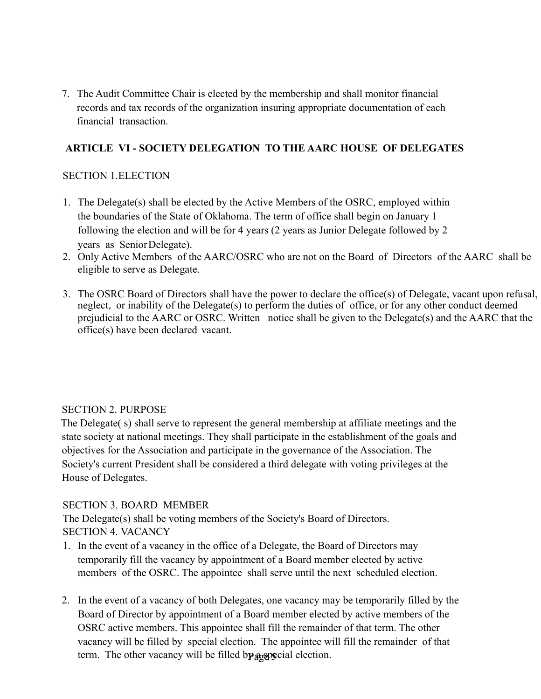7. The Audit Committee Chair is elected by the membership and shall monitor financial records and tax records of the organization insuring appropriate documentation of each financial transaction.

## **ARTICLE VI - SOCIETY DELEGATION TO THE AARC HOUSE OF DELEGATES**

### SECTION 1.ELECTION

- 1. The Delegate(s) shall be elected by the Active Members of the OSRC, employed within the boundaries of the State of Oklahoma. The term of office shall begin on January 1 following the election and will be for 4 years (2 years as Junior Delegate followed by 2 years as SeniorDelegate).
- 2. Only Active Members of the AARC/OSRC who are not on the Board of Directors of the AARC shall be eligible to serve as Delegate.
- 3. The OSRC Board of Directors shall have the power to declare the office(s) of Delegate, vacant upon refusal, neglect, or inability of the Delegate(s) to perform the duties of office, or for any other conduct deemed prejudicial to the AARC or OSRC. Written notice shall be given to the Delegate(s) and the AARC that the office(s) have been declared vacant.

#### SECTION 2. PURPOSE

The Delegate( s) shall serve to represent the general membership at affiliate meetings and the state society at national meetings. They shall participate in the establishment of the goals and objectives for the Association and participate in the governance of the Association. The Society's current President shall be considered a third delegate with voting privileges at the House of Delegates.

#### SECTION 3. BOARD MEMBER

The Delegate(s) shall be voting members of the Society's Board of Directors. SECTION 4. VACANCY

- 1. In the event of a vacancy in the office of a Delegate, the Board of Directors may temporarily fill the vacancy by appointment of a Board member elected by active members of the OSRC. The appointee shall serve until the next scheduled election.
- term. The other vacancy will be filled by a special election. 2. In the event of a vacancy of both Delegates, one vacancy may be temporarily filled by the Board of Director by appointment of a Board member elected by active members of the OSRC active members. This appointee shall fill the remainder of that term. The other vacancy will be filled by special election. The appointee will fill the remainder of that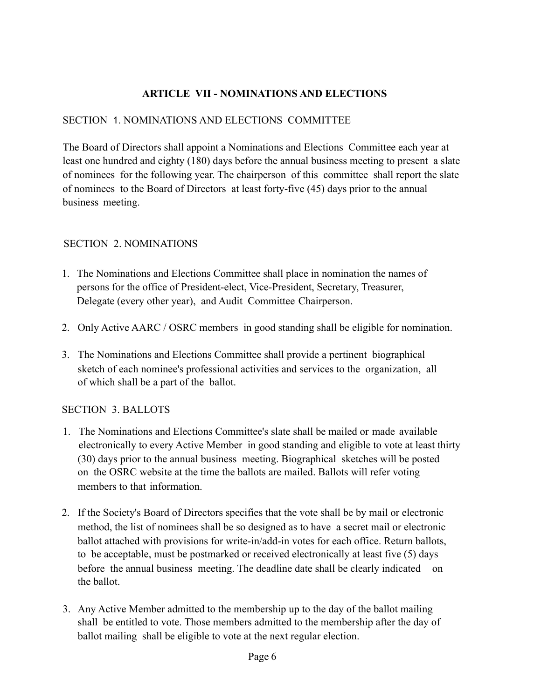## **ARTICLE VII - NOMINATIONS AND ELECTIONS**

## SECTION 1. NOMINATIONS AND ELECTIONS COMMITTEE

The Board of Directors shall appoint a Nominations and Elections Committee each year at least one hundred and eighty (180) days before the annual business meeting to present a slate of nominees for the following year. The chairperson of this committee shall report the slate of nominees to the Board of Directors at least forty-five (45) days prior to the annual business meeting.

### SECTION 2. NOMINATIONS

- 1. The Nominations and Elections Committee shall place in nomination the names of persons for the office of President-elect, Vice-President, Secretary, Treasurer, Delegate (every other year), and Audit Committee Chairperson.
- 2. Only Active AARC / OSRC members in good standing shall be eligible for nomination.
- 3. The Nominations and Elections Committee shall provide a pertinent biographical sketch of each nominee's professional activities and services to the organization, all of which shall be a part of the ballot.

### SECTION 3. BALLOTS

- 1. The Nominations and Elections Committee's slate shall be mailed or made available electronically to every Active Member in good standing and eligible to vote at least thirty (30) days prior to the annual business meeting. Biographical sketches will be posted on the OSRC website at the time the ballots are mailed. Ballots will refer voting members to that information.
- 2. If the Society's Board of Directors specifies that the vote shall be by mail or electronic method, the list of nominees shall be so designed as to have a secret mail or electronic ballot attached with provisions for write-in/add-in votes for each office. Return ballots, to be acceptable, must be postmarked or received electronically at least five (5) days before the annual business meeting. The deadline date shall be clearly indicated on the ballot.
- 3. Any Active Member admitted to the membership up to the day of the ballot mailing shall be entitled to vote. Those members admitted to the membership after the day of ballot mailing shall be eligible to vote at the next regular election.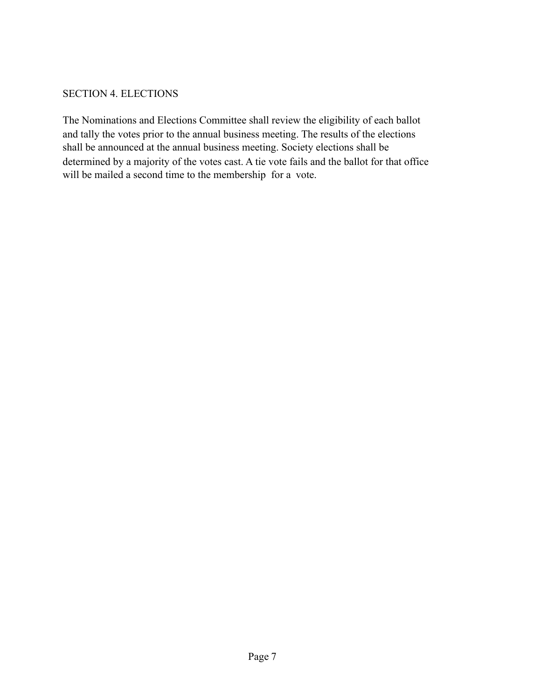### SECTION 4. ELECTIONS

The Nominations and Elections Committee shall review the eligibility of each ballot and tally the votes prior to the annual business meeting. The results of the elections shall be announced at the annual business meeting. Society elections shall be determined by a majority of the votes cast. A tie vote fails and the ballot for that office will be mailed a second time to the membership for a vote.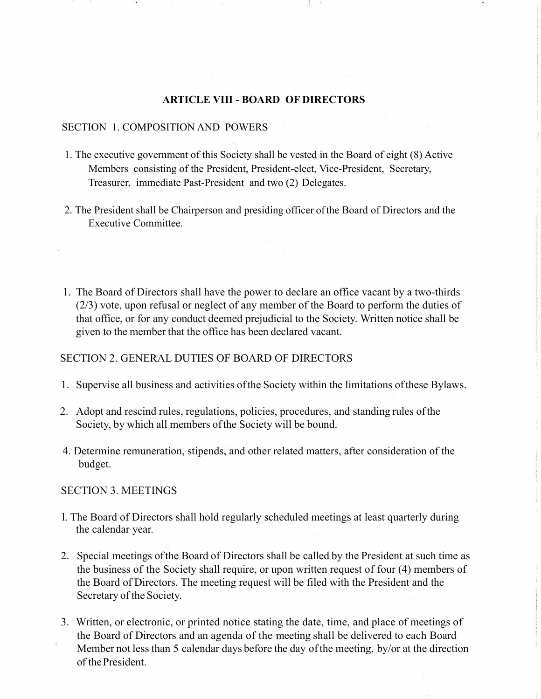#### **ARTICLE VIII - BOARD OF DIRECTORS**

#### SECTION 1. COMPOSITION AND POWERS

- 1. The executive government of this Society shall be vested in the Board of eight (8) Active Members consisting of the President, President-elect, Vice-President, Secretary, Treasurer, immediate Past-President and two (2) Delegates.
- 2. The President shall be Chairperson and presiding officer ofthe Board of Directors and the Executive Committee.
- 1. The Board of Directors shall have the power to declare an office vacant by a two-thirds (2/3) vote, upon refusal or neglect of any member of the Board to perform the duties of that office, or for any conduct deemed prejudicial to the Society. Written notice shall be given to the member that the office has been declared vacant.

#### SECTION 2. GENERAL DUTIES OF BOARD OF DIRECTORS

- 1. Supervise all business and activities ofthe Society within the limitations ofthese Bylaws.
- 2. Adopt and rescind rules, regulations, policies, procedures, and standing rules ofthe Society, by which all members ofthe Society will be bound.
- 4. Determine remuneration, stipends, and other related matters, after consideration of the budget.

#### SECTION 3. MEETINGS

- l. The Board of Directors shall hold regularly scheduled meetings at least quarterly during the calendar year.
- 2. Special meetings ofthe Board of Directors shall be called by the President at such time as the business of the Society shall require, or upon written request of four (4) members of the Board of Directors. The meeting request will be filed with the President and the Secretary of the Society.
- $\frac{1}{2}$ 3. Written, or electronic, or printed notice stating the date, time, and place of meetings of the Board of Directors and an agenda of the meeting shall be delivered to each Board Member not less than 5 calendar days before the day ofthe meeting, by/or at the direction of thePresident.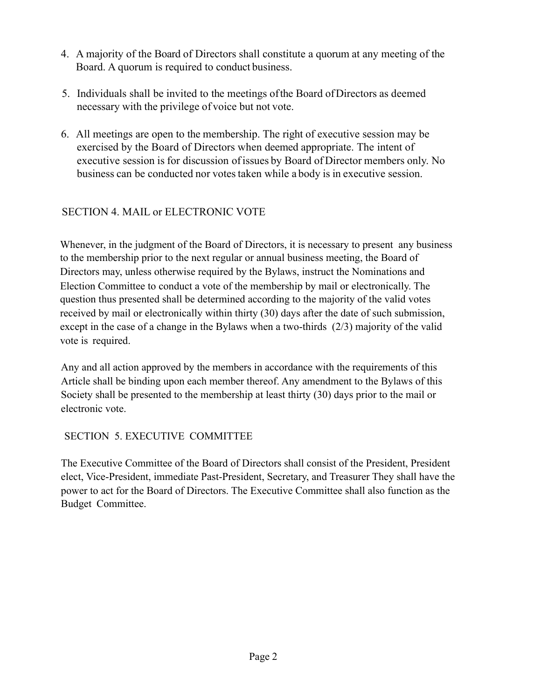- 4. A majority of the Board of Directors shall constitute a quorum at any meeting of the Board. A quorum is required to conduct business.
- 5. Individuals shall be invited to the meetings ofthe Board ofDirectors as deemed necessary with the privilege of voice but not vote.
- 6. All meetings are open to the membership. The right of executive session may be exercised by the Board of Directors when deemed appropriate. The intent of executive session is for discussion ofissues by Board of Director members only. No business can be conducted nor votestaken while a body is in executive session.

# SECTION 4. MAIL or ELECTRONIC VOTE

Whenever, in the judgment of the Board of Directors, it is necessary to present any business to the membership prior to the next regular or annual business meeting, the Board of Directors may, unless otherwise required by the Bylaws, instruct the Nominations and Election Committee to conduct a vote of the membership by mail or electronically. The question thus presented shall be determined according to the majority of the valid votes received by mail or electronically within thirty (30) days after the date of such submission, except in the case of a change in the Bylaws when a two-thirds (2/3) majority of the valid vote is required.

Any and all action approved by the members in accordance with the requirements of this Article shall be binding upon each member thereof. Any amendment to the Bylaws of this Society shall be presented to the membership at least thirty (30) days prior to the mail or electronic vote.

## SECTION 5. EXECUTIVE COMMITTEE

The Executive Committee of the Board of Directors shall consist of the President, President elect, Vice-President, immediate Past-President, Secretary, and Treasurer They shall have the power to act for the Board of Directors. The Executive Committee shall also function as the Budget Committee.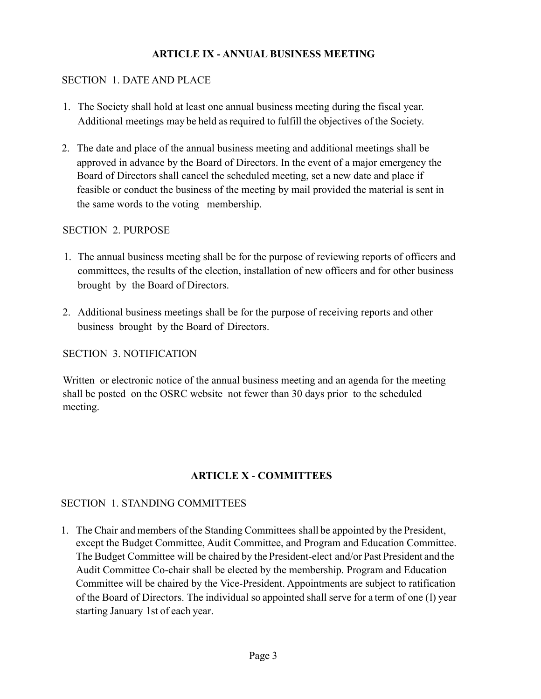## **ARTICLE IX - ANNUAL BUSINESS MEETING**

## SECTION 1. DATE AND PLACE

- 1. The Society shall hold at least one annual business meeting during the fiscal year. Additional meetings may be held as required to fulfill the objectives of the Society.
- 2. The date and place of the annual business meeting and additional meetings shall be approved in advance by the Board of Directors. In the event of a major emergency the Board of Directors shall cancel the scheduled meeting, set a new date and place if feasible or conduct the business of the meeting by mail provided the material is sent in the same words to the voting membership.

## SECTION 2. PURPOSE

- 1. The annual business meeting shall be for the purpose of reviewing reports of officers and committees, the results of the election, installation of new officers and for other business brought by the Board of Directors.
- 2. Additional business meetings shall be for the purpose of receiving reports and other business brought by the Board of Directors.

## SECTION 3. NOTIFICATION

Written or electronic notice of the annual business meeting and an agenda for the meeting shall be posted on the OSRC website not fewer than 30 days prior to the scheduled meeting.

## **ARTICLE X** - **COMMITTEES**

## SECTION 1. STANDING COMMITTEES

1. The Chair and members of the Standing Committees shall be appointed by the President, except the Budget Committee, Audit Committee, and Program and Education Committee. The Budget Committee will be chaired by the President-elect and/or Past President and the Audit Committee Co-chair shall be elected by the membership. Program and Education Committee will be chaired by the Vice-President. Appointments are subject to ratification of the Board of Directors. The individual so appointed shall serve for a term of one ( l) year starting January 1st of each year.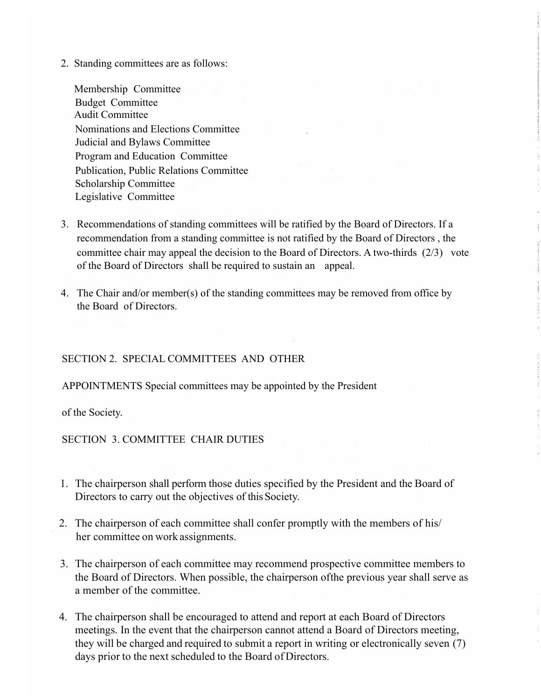2. Standing committees are as follows:

Membership Committee Budget Committee Audit Committee Nominations and Elections Committee Judicial and Bylaws Committee Program and Education Committee Publication, Public Relations Committee Scholarship Committee Legislative Committee

- 3. Recommendations of standing committees will be ratified by the Board of Directors. If a recommendation from a standing committee is not ratified by the Board of Directors , the committee chair may appeal the decision to the Board of Directors. A two-thirds (2/3) vote of the Board of Directors shall be required to sustain an appeal.
- 4. The Chair and/or member(s) of the standing committees may be removed from office by the Board of Directors.

#### SECTION 2. SPECIAL COMMITTEES AND OTHER

APPOINTMENTS Special committees may be appointed by the President

of the Society.

#### SECTION 3. COMMITTEE CHAIR DUTIES

- 1. The chairperson shall perform those duties specified by the President and the Board of Directors to carry out the objectives of this Society.
- 2. The chairperson of each committee shall confer promptly with the members of his/ her committee on work assignments.
- 3. The chairperson of each committee may recommend prospective committee members to the Board of Directors. When possible, the chairperson of the previous year shall serve as a member of the committee.
- days prior to the next scheduled to the Board of Directors. 4. The chairperson shall be encouraged to attend and report at each Board of Directors meetings. In the event that the chairperson cannot attend a Board of Directors meeting, they will be charged and required to submit a report in writing or electronically seven (7)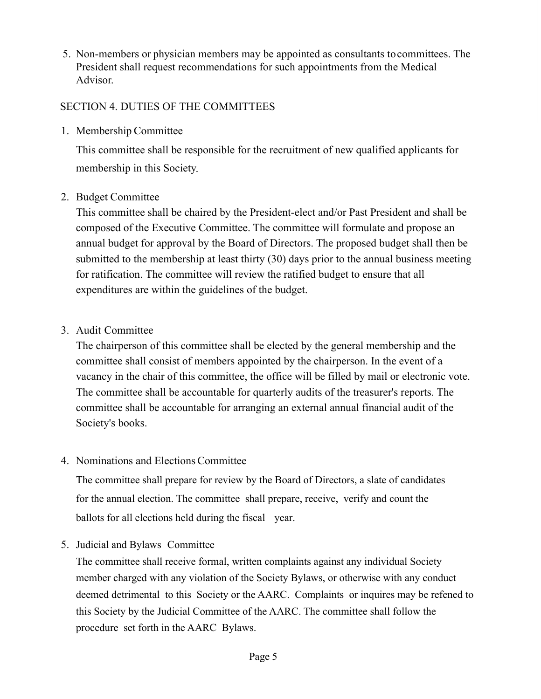5. Non-members or physician members may be appointed as consultants to committees. The President shall request recommendations for such appointments from the Medical Advisor.

# SECTION 4. DUTIES OF THE COMMITTEES

1. Membership Committee

This committee shall be responsible for the recruitment of new qualified applicants for membership in this Society.

2. Budget Committee

This committee shall be chaired by the President-elect and/or Past President and shall be composed of the Executive Committee. The committee will formulate and propose an annual budget for approval by the Board of Directors. The proposed budget shall then be submitted to the membership at least thirty (30) days prior to the annual business meeting for ratification. The committee will review the ratified budget to ensure that all expenditures are within the guidelines of the budget.

3. Audit Committee

The chairperson of this committee shall be elected by the general membership and the committee shall consist of members appointed by the chairperson. In the event of a vacancy in the chair of this committee, the office will be filled by mail or electronic vote. The committee shall be accountable for quarterly audits of the treasurer's reports. The committee shall be accountable for arranging an external annual financial audit of the Society's books.

4. Nominations and Elections Committee

The committee shall prepare for review by the Board of Directors, a slate of candidates for the annual election. The committee shall prepare, receive, verify and count the ballots for all elections held during the fiscal year.

5. Judicial and Bylaws Committee

The committee shall receive formal, written complaints against any individual Society member charged with any violation of the Society Bylaws, or otherwise with any conduct deemed detrimental to this Society or the AARC. Complaints or inquires may be refened to this Society by the Judicial Committee of the AARC. The committee shall follow the procedure set forth in the AARC Bylaws.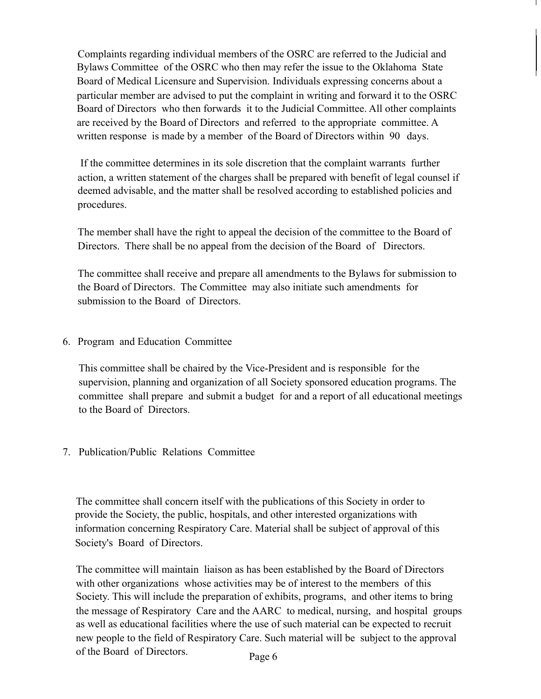Complaints regarding individual members of the OSRC are referred to the Judicial and Bylaws Committee of the OSRC who then may refer the issue to the Oklahoma State Board of Medical Licensure and Supervision. Individuals expressing concerns about a particular member are advised to put the complaint in writing and forward it to the OSRC Board of Directors who then forwards it to the Judicial Committee. All other complaints are received by the Board of Directors and referred to the appropriate committee. A written response is made by a member of the Board of Directors within 90 days.

If the committee determines in its sole discretion that the complaint warrants further action, a written statement of the charges shall be prepared with benefit of legal counsel if deemed advisable, and the matter shall be resolved according to established policies and procedures.

The member shall have the right to appeal the decision of the committee to the Board of Directors. There shall be no appeal from the decision of the Board of Directors.

The committee shall receive and prepare all amendments to the Bylaws for submission to the Board of Directors. The Committee may also initiate such amendments for submission to the Board of Directors.

6. Program and Education Committee

This committee shall be chaired by the Vice-President and is responsible for the supervision, planning and organization of all Society sponsored education programs. The committee shall prepare and submit a budget for and a report of all educational meetings to the Board of Directors.

7. Publication/Public Relations Committee

The committee shall concern itself with the publications of this Society in order to provide the Society, the public, hospitals, and other interested organizations with information concerning Respiratory Care. Material shall be subject of approval of this Society's Board of Directors.

The committee will maintain liaison as has been established by the Board of Directors with other organizations whose activities may be of interest to the members of this Society. This will include the preparation of exhibits, programs, and other items to bring the message of Respiratory Care and the AARC to medical, nursing, and hospital groups as well as educational facilities where the use of such material can be expected to recruit new people to the field of Respiratory Care. Such material will be subject to the approval of the Board of Directors.